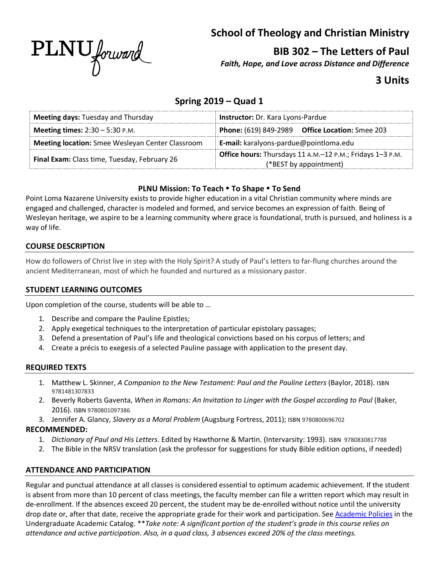

**School of Theology and Christian Ministry**

**BIB 302 – The Letters of Paul**

*Faith, Hope, and Love across Distance and Difference*

# **3 Units**

## **Spring 2019 – Quad 1**

| <b>Meeting days: Tuesday and Thursday</b>               | Instructor: Dr. Kara Lyons-Pardue                                                   |  |
|---------------------------------------------------------|-------------------------------------------------------------------------------------|--|
| <b>Meeting times:</b> $2:30 - 5:30$ P.M.                | <b>Phone:</b> (619) 849-2989 <b>Office Location:</b> Smee 203                       |  |
| <b>Meeting location:</b> Smee Wesleyan Center Classroom | E-mail: karalyons-pardue@pointloma.edu                                              |  |
| Final Exam: Class time, Tuesday, February 26            | Office hours: Thursdays 11 A.M.-12 P.M.; Fridays 1-3 P.M.<br>(*BEST by appointment) |  |

## **PLNU Mission: To Teach To Shape To Send**

Point Loma Nazarene University exists to provide higher education in a vital Christian community where minds are engaged and challenged, character is modeled and formed, and service becomes an expression of faith. Being of Wesleyan heritage, we aspire to be a learning community where grace is foundational, truth is pursued, and holiness is a way of life.

## **COURSE DESCRIPTION**

How do followers of Christ live in step with the Holy Spirit? A study of Paul's letters to far-flung churches around the ancient Mediterranean, most of which he founded and nurtured as a missionary pastor.

## **STUDENT LEARNING OUTCOMES**

Upon completion of the course, students will be able to …

- 1. Describe and compare the Pauline Epistles;
- 2. Apply exegetical techniques to the interpretation of particular epistolary passages;
- 3. Defend a presentation of Paul's life and theological convictions based on his corpus of letters; and
- 4. Create a précis to exegesis of a selected Pauline passage with application to the present day.

## **REQUIRED TEXTS**

- 1. Matthew L. Skinner, *A Companion to the New Testament: Paul and the Pauline Letters* (Baylor, 2018). ISBN 9781481307833
- 2. Beverly Roberts Gaventa, *When in Romans: An Invitation to Linger with the Gospel according to Paul* (Baker, 2016). ISBN 9780801097386
- 3. Jennifer A. Glancy, *Slavery as a Moral Problem* (Augsburg Fortress, 2011); ISBN 9780800696702

## **RECOMMENDED:**

- 1. *Dictionary of Paul and His Letters*. Edited by Hawthorne & Martin. (Intervarsity: 1993). ISBN 9780830817788
- 2. The Bible in the NRSV translation (ask the professor for suggestions for study Bible edition options, if needed)

## **ATTENDANCE AND PARTICIPATION**

Regular and punctual attendance at all classes is considered essential to optimum academic achievement. If the student is absent from more than 10 percent of class meetings, the faculty member can file a written report which may result in de-enrollment. If the absences exceed 20 percent, the student may be de-enrolled without notice until the university drop date or, after that date, receive the appropriate grade for their work and participation. See Academic Policies in the Undergraduate Academic Catalog. \*\**Take note: A significant portion of the student's grade in this course relies on attendance and active participation. Also, in a quad class, 3 absences exceed 20% of the class meetings.*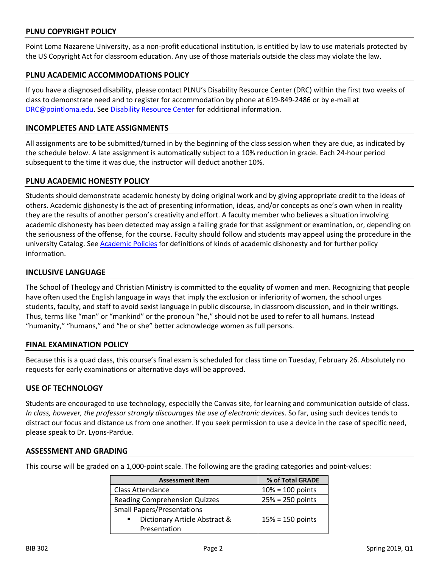### **PLNU COPYRIGHT POLICY**

Point Loma Nazarene University, as a non-profit educational institution, is entitled by law to use materials protected by the US Copyright Act for classroom education. Any use of those materials outside the class may violate the law.

#### **PLNU ACADEMIC ACCOMMODATIONS POLICY**

If you have a diagnosed disability, please contact PLNU's Disability Resource Center (DRC) within the first two weeks of class to demonstrate need and to register for accommodation by phone at 619-849-2486 or by e-mail at DRC@pointloma.edu. See Disability Resource Center for additional information.

#### **INCOMPLETES AND LATE ASSIGNMENTS**

All assignments are to be submitted/turned in by the beginning of the class session when they are due, as indicated by the schedule below. A late assignment is automatically subject to a 10% reduction in grade. Each 24-hour period subsequent to the time it was due, the instructor will deduct another 10%.

#### **PLNU ACADEMIC HONESTY POLICY**

Students should demonstrate academic honesty by doing original work and by giving appropriate credit to the ideas of others. Academic dishonesty is the act of presenting information, ideas, and/or concepts as one's own when in reality they are the results of another person's creativity and effort. A faculty member who believes a situation involving academic dishonesty has been detected may assign a failing grade for that assignment or examination, or, depending on the seriousness of the offense, for the course. Faculty should follow and students may appeal using the procedure in the university Catalog. See Academic Policies for definitions of kinds of academic dishonesty and for further policy information.

#### **INCLUSIVE LANGUAGE**

The School of Theology and Christian Ministry is committed to the equality of women and men. Recognizing that people have often used the English language in ways that imply the exclusion or inferiority of women, the school urges students, faculty, and staff to avoid sexist language in public discourse, in classroom discussion, and in their writings. Thus, terms like "man" or "mankind" or the pronoun "he," should not be used to refer to all humans. Instead "humanity," "humans," and "he or she" better acknowledge women as full persons.

#### **FINAL EXAMINATION POLICY**

Because this is a quad class, this course's final exam is scheduled for class time on Tuesday, February 26. Absolutely no requests for early examinations or alternative days will be approved.

#### **USE OF TECHNOLOGY**

Students are encouraged to use technology, especially the Canvas site, for learning and communication outside of class. *In class, however, the professor strongly discourages the use of electronic devices*. So far, using such devices tends to distract our focus and distance us from one another. If you seek permission to use a device in the case of specific need, please speak to Dr. Lyons-Pardue.

#### **ASSESSMENT AND GRADING**

This course will be graded on a 1,000-point scale. The following are the grading categories and point-values:

| <b>Assessment Item</b>                          | % of Total GRADE   |
|-------------------------------------------------|--------------------|
| Class Attendance                                | $10% = 100$ points |
| <b>Reading Comprehension Quizzes</b>            | $25% = 250$ points |
| <b>Small Papers/Presentations</b>               |                    |
| Dictionary Article Abstract &<br>$\blacksquare$ | $15% = 150$ points |
| Presentation                                    |                    |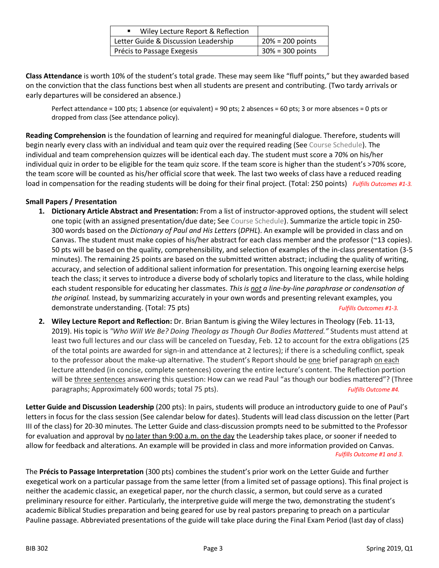| Wiley Lecture Report & Reflection    |                     |
|--------------------------------------|---------------------|
| Letter Guide & Discussion Leadership | $20\% = 200$ points |
| Précis to Passage Exegesis           | $30\% = 300$ points |

**Class Attendance** is worth 10% of the student's total grade. These may seem like "fluff points," but they awarded based on the conviction that the class functions best when all students are present and contributing. (Two tardy arrivals or early departures will be considered an absence.)

Perfect attendance = 100 pts; 1 absence (or equivalent) = 90 pts; 2 absences = 60 pts; 3 or more absences = 0 pts or dropped from class (See attendance policy).

**Reading Comprehension** is the foundation of learning and required for meaningful dialogue. Therefore, students will begin nearly every class with an individual and team quiz over the required reading (See Course Schedule). The individual and team comprehension quizzes will be identical each day. The student must score a 70% on his/her individual quiz in order to be eligible for the team quiz score. If the team score is higher than the student's >70% score, the team score will be counted as his/her official score that week. The last two weeks of class have a reduced reading load in compensation for the reading students will be doing for their final project. (Total: 250 points) *Fulfills Outcomes #1-3.*

## **Small Papers / Presentation**

- **1. Dictionary Article Abstract and Presentation:** From a list of instructor-approved options, the student will select one topic (with an assigned presentation/due date; See Course Schedule). Summarize the article topic in 250- 300 words based on the *Dictionary of Paul and His Letters* (*DPHL*). An example will be provided in class and on Canvas. The student must make copies of his/her abstract for each class member and the professor (~13 copies). 50 pts will be based on the quality, comprehensibility, and selection of examples of the in-class presentation (3-5 minutes). The remaining 25 points are based on the submitted written abstract; including the quality of writing, accuracy, and selection of additional salient information for presentation. This ongoing learning exercise helps teach the class; it serves to introduce a diverse body of scholarly topics and literature to the class, while holding each student responsible for educating her classmates. *This is not a line-by-line paraphrase or condensation of the original.* Instead, by summarizing accurately in your own words and presenting relevant examples, you demonstrate understanding. (Total: 75 pts) *Fulfills Outcomes #1-3.*
- **2. Wiley Lecture Report and Reflection:** Dr. Brian Bantum is giving the Wiley lectures in Theology (Feb. 11-13, 2019). His topic is *"Who Will We Be? Doing Theology as Though Our Bodies Mattered."* Students must attend at least two full lectures and our class will be canceled on Tuesday, Feb. 12 to account for the extra obligations (25 of the total points are awarded for sign-in and attendance at 2 lectures); if there is a scheduling conflict, speak to the professor about the make-up alternative. The student's Report should be one brief paragraph on each lecture attended (in concise, complete sentences) covering the entire lecture's content. The Reflection portion will be three sentences answering this question: How can we read Paul "as though our bodies mattered"? (Three paragraphs; Approximately 600 words; total 75 pts). *Fulfills Outcome #4.*

**Letter Guide and Discussion Leadership** (200 pts): In pairs, students will produce an introductory guide to one of Paul's letters in focus for the class session (See calendar below for dates). Students will lead class discussion on the letter (Part III of the class) for 20-30 minutes. The Letter Guide and class-discussion prompts need to be submitted to the Professor for evaluation and approval by no later than 9:00 a.m. on the day the Leadership takes place, or sooner if needed to allow for feedback and alterations. An example will be provided in class and more information provided on Canvas. *Fulfills Outcome #1 and 3.*

The **Précis to Passage Interpretation** (300 pts) combines the student's prior work on the Letter Guide and further exegetical work on a particular passage from the same letter (from a limited set of passage options). This final project is neither the academic classic, an exegetical paper, nor the church classic, a sermon, but could serve as a curated preliminary resource for either. Particularly, the interpretive guide will merge the two, demonstrating the student's academic Biblical Studies preparation and being geared for use by real pastors preparing to preach on a particular Pauline passage. Abbreviated presentations of the guide will take place during the Final Exam Period (last day of class)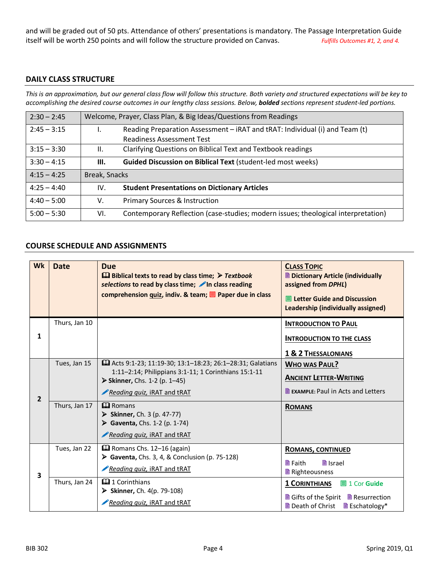and will be graded out of 50 pts. Attendance of others' presentations is mandatory. The Passage Interpretation Guide itself will be worth 250 points and will follow the structure provided on Canvas. *Fulfills Outcomes #1, 2, and 4.*

## **DAILY CLASS STRUCTURE**

*This is an approximation, but our general class flow will follow this structure. Both variety and structured expectations will be key to accomplishing the desired course outcomes in our lengthy class sessions. Below, bolded sections represent student-led portions.* 

| $2:30 - 2:45$ | Welcome, Prayer, Class Plan, & Big Ideas/Questions from Readings |                                                                                   |
|---------------|------------------------------------------------------------------|-----------------------------------------------------------------------------------|
| $2:45 - 3:15$ | Ι.                                                               | Reading Preparation Assessment – iRAT and tRAT: Individual (i) and Team (t)       |
|               |                                                                  | <b>Readiness Assessment Test</b>                                                  |
| $3:15 - 3:30$ | $\mathbf{II}$ .                                                  | Clarifying Questions on Biblical Text and Textbook readings                       |
| $3:30 - 4:15$ | Ш.                                                               | <b>Guided Discussion on Biblical Text (student-led most weeks)</b>                |
| $4:15 - 4:25$ | Break, Snacks                                                    |                                                                                   |
| $4:25 - 4:40$ | IV.                                                              | <b>Student Presentations on Dictionary Articles</b>                               |
| $4:40 - 5:00$ | V.                                                               | <b>Primary Sources &amp; Instruction</b>                                          |
| $5:00 - 5:30$ | VI.                                                              | Contemporary Reflection (case-studies; modern issues; theological interpretation) |

#### **COURSE SCHEDULE AND ASSIGNMENTS**

| Wk             | <b>Date</b>   | <b>Due</b><br>$\Box$ Biblical texts to read by class time; $\triangleright$ Textbook<br>selections to read by class time; nin class reading<br>comprehension quiz, indiv. & team; $\equiv$ Paper due in class | <b>CLASS TOPIC</b><br><b>Dictionary Article (individually</b><br>assigned from DPHL)<br>$\blacksquare$ Letter Guide and Discussion<br>Leadership (individually assigned) |  |  |
|----------------|---------------|---------------------------------------------------------------------------------------------------------------------------------------------------------------------------------------------------------------|--------------------------------------------------------------------------------------------------------------------------------------------------------------------------|--|--|
| 1              | Thurs, Jan 10 |                                                                                                                                                                                                               | <b>INTRODUCTION TO PAUL</b><br><b>INTRODUCTION TO THE CLASS</b><br>1 & 2 THESSALONIANS                                                                                   |  |  |
| $\overline{2}$ | Tues, Jan 15  | <b>Q</b> Acts 9:1-23; 11:19-30; 13:1-18:23; 26:1-28:31; Galatians<br>1:11-2:14; Philippians 3:1-11; 1 Corinthians 15:1-11<br>> Skinner, Chs. 1-2 (p. 1-45)<br>Reading quiz, iRAT and tRAT                     | <b>WHO WAS PAUL?</b><br><b>ANCIENT LETTER-WRITING</b><br><b>E</b> EXAMPLE: Paul in Acts and Letters                                                                      |  |  |
|                | Thurs, Jan 17 | $\mathbf{\Omega}$ Romans<br>Skinner, Ch. 3 (p. 47-77)<br>▶ Gaventa, Chs. 1-2 (p. 1-74)<br>Reading quiz, iRAT and tRAT                                                                                         | <b>ROMANS</b>                                                                                                                                                            |  |  |
| 3              | Tues, Jan 22  | <b>Example 3</b> Romans Chs. 12-16 (again)<br>Gaventa, Chs. 3, 4, & Conclusion (p. 75-128)<br>Reading quiz, iRAT and tRAT                                                                                     | ROMANS, CONTINUED<br><b>■</b> Israel<br><b>■ Faith</b><br>Righteousness                                                                                                  |  |  |
|                | Thurs, Jan 24 | $\mathbf{\Omega}$ 1 Corinthians<br>> Skinner, Ch. 4(p. 79-108)<br>Reading quiz, iRAT and tRAT                                                                                                                 | <b>1 CORINTHIANS</b><br><b>■ 1 Cor Guide</b><br>■ Gifts of the Spirit ■ Resurrection<br><b>■</b> Death of Christ<br>■ Eschatology*                                       |  |  |